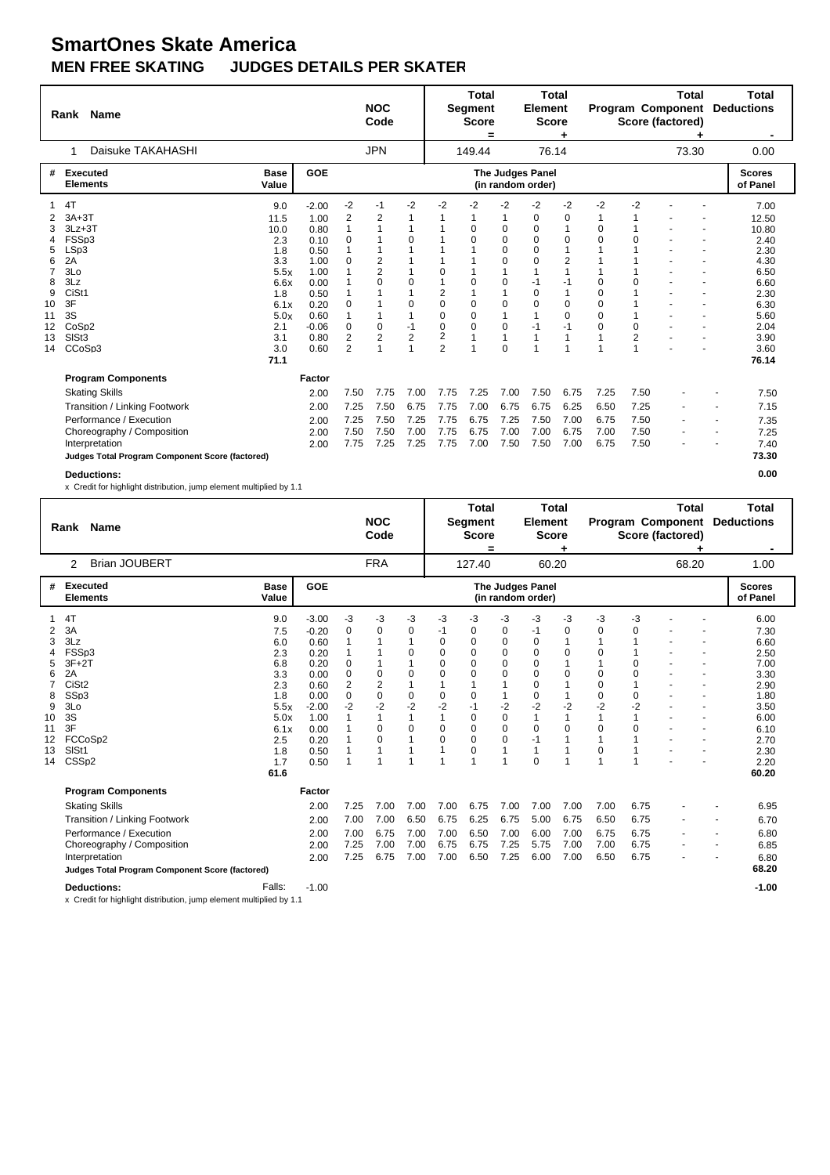| <b>Name</b><br>Rank |                   |                                                 |                      |              | <b>NOC</b><br>Code |                                     |                | <b>Total</b><br><b>Segment</b><br><b>Score</b><br>= |             | <b>Total</b><br><b>Element</b><br><b>Score</b> |                                       |                        |             | <b>Total</b><br>Program Component<br>Score (factored) |       | <b>Total</b><br><b>Deductions</b> |                           |
|---------------------|-------------------|-------------------------------------------------|----------------------|--------------|--------------------|-------------------------------------|----------------|-----------------------------------------------------|-------------|------------------------------------------------|---------------------------------------|------------------------|-------------|-------------------------------------------------------|-------|-----------------------------------|---------------------------|
|                     |                   | Daisuke TAKAHASHI                               |                      |              |                    | <b>JPN</b>                          |                |                                                     | 149.44      |                                                | 76.14                                 |                        |             |                                                       | 73.30 |                                   | 0.00                      |
| #                   | <b>Executed</b>   | <b>Elements</b>                                 | <b>Base</b><br>Value | <b>GOE</b>   |                    |                                     |                |                                                     |             |                                                | The Judges Panel<br>(in random order) |                        |             |                                                       |       |                                   | <b>Scores</b><br>of Panel |
| 1                   | 4T                |                                                 | 9.0                  | $-2.00$      | -2                 | -1                                  | $-2$           | $-2$                                                | $-2$        | $-2$                                           | $-2$                                  | $-2$                   | $-2$        | $-2$                                                  |       |                                   | 7.00                      |
|                     | $3A+3T$           |                                                 | 11.5                 | 1.00         | 2                  | 2                                   | 1              |                                                     |             |                                                | 0                                     | 0                      |             |                                                       |       |                                   | 12.50                     |
|                     | $3Lz + 3T$        |                                                 | 10.0                 | 0.80         | $\mathbf{1}$       |                                     | 1              |                                                     | $\Omega$    | 0                                              | 0                                     | $\mathbf{1}$           | 0           |                                                       |       |                                   | 10.80                     |
| 4                   | FSSp3             |                                                 | 2.3                  | 0.10         | 0                  |                                     | 0              |                                                     | $\Omega$    | 0                                              | 0                                     | $\mathbf 0$            | $\Omega$    | $\Omega$                                              |       |                                   | 2.40                      |
| 5                   | LSp3              |                                                 | 1.8                  | 0.50         |                    |                                     | 1              |                                                     |             | $\Omega$                                       | $\Omega$                              | $\mathbf{1}$           |             |                                                       |       |                                   | 2.30                      |
| 6                   | 2A                |                                                 | 3.3                  | 1.00         | 0                  | $\overline{\mathbf{c}}$             | 1              |                                                     |             | $\Omega$                                       | $\Omega$                              | $\overline{c}$         |             |                                                       |       |                                   | 4.30                      |
| $\overline{7}$      | 3Lo<br>3Lz        |                                                 | 5.5x                 | 1.00         |                    | $\overline{\mathbf{c}}$<br>$\Omega$ | 1<br>0         | $\Omega$<br>$\overline{1}$                          | $\Omega$    | 1<br>$\mathbf 0$                               | $-1$                                  | $\overline{1}$<br>$-1$ | $\mathbf 0$ | $\Omega$                                              |       |                                   | 6.50                      |
| 8<br>9              | CiSt1             |                                                 | 6.6x                 | 0.00<br>0.50 |                    |                                     | 1              | 2                                                   |             |                                                | $\Omega$                              | 1                      | $\Omega$    |                                                       |       |                                   | 6.60                      |
| 10                  | 3F                |                                                 | 1.8<br>6.1x          | 0.20         | 0                  |                                     | 0              | $\Omega$                                            | $\mathbf 0$ | 0                                              | $\Omega$                              | $\mathbf 0$            | $\mathbf 0$ |                                                       |       |                                   | 2.30<br>6.30              |
| 11                  | 3S                |                                                 | 5.0x                 | 0.60         | 1                  |                                     | 1              | $\mathbf 0$                                         | 0           | 1                                              | 1                                     | $\Omega$               | $\mathbf 0$ |                                                       |       |                                   | 5.60                      |
| 12                  | CoSp <sub>2</sub> |                                                 | 2.1                  | $-0.06$      | 0                  | 0                                   | $-1$           | $\mathbf 0$                                         | 0           | 0                                              | $-1$                                  | $-1$                   | 0           | 0                                                     |       |                                   | 2.04                      |
| 13                  | SISt <sub>3</sub> |                                                 | 3.1                  | 0.80         | $\overline{2}$     | 2                                   | $\overline{2}$ | 2                                                   |             | $\overline{1}$                                 | 1                                     | $\overline{1}$         |             | $\overline{2}$                                        |       |                                   | 3.90                      |
| 14                  | CCoSp3            |                                                 | 3.0                  | 0.60         | 2                  |                                     | $\mathbf{1}$   | $\overline{2}$                                      |             | 0                                              |                                       | 1                      |             |                                                       |       |                                   | 3.60                      |
|                     |                   |                                                 | 71.1                 |              |                    |                                     |                |                                                     |             |                                                |                                       |                        |             |                                                       |       |                                   | 76.14                     |
|                     |                   | <b>Program Components</b>                       |                      | Factor       |                    |                                     |                |                                                     |             |                                                |                                       |                        |             |                                                       |       |                                   |                           |
|                     |                   | <b>Skating Skills</b>                           |                      | 2.00         | 7.50               | 7.75                                | 7.00           | 7.75                                                | 7.25        | 7.00                                           | 7.50                                  | 6.75                   | 7.25        | 7.50                                                  |       |                                   | 7.50                      |
|                     |                   | Transition / Linking Footwork                   |                      | 2.00         | 7.25               | 7.50                                | 6.75           | 7.75                                                | 7.00        | 6.75                                           | 6.75                                  | 6.25                   | 6.50        | 7.25                                                  |       |                                   | 7.15                      |
|                     |                   | Performance / Execution                         |                      | 2.00         | 7.25               | 7.50                                | 7.25           | 7.75                                                | 6.75        | 7.25                                           | 7.50                                  | 7.00                   | 6.75        | 7.50                                                  |       | $\overline{\phantom{a}}$          | 7.35                      |
|                     |                   | Choreography / Composition                      |                      | 2.00         | 7.50               | 7.50                                | 7.00           | 7.75                                                | 6.75        | 7.00                                           | 7.00                                  | 6.75                   | 7.00        | 7.50                                                  |       | $\overline{\phantom{a}}$          | 7.25                      |
|                     |                   | Interpretation                                  |                      | 2.00         | 7.75               | 7.25                                | 7.25           | 7.75                                                | 7.00        | 7.50                                           | 7.50                                  | 7.00                   | 6.75        | 7.50                                                  |       |                                   | 7.40                      |
|                     |                   | Judges Total Program Component Score (factored) |                      |              |                    |                                     |                |                                                     |             |                                                |                                       |                        |             |                                                       |       |                                   | 73.30                     |
|                     |                   | <b>Deductions:</b>                              |                      |              |                    |                                     |                |                                                     |             |                                                |                                       |                        |             |                                                       |       |                                   | 0.00                      |

|    | Rank Name                                                           |                      |         |      | <b>NOC</b><br>Code |              |                | <b>Total</b><br>Segment<br><b>Score</b><br>= |                | <b>Total</b><br><b>Element</b><br><b>Score</b> |              |             |          | <b>Total</b><br><b>Program Component</b><br>Score (factored) |   | Total<br><b>Deductions</b> |
|----|---------------------------------------------------------------------|----------------------|---------|------|--------------------|--------------|----------------|----------------------------------------------|----------------|------------------------------------------------|--------------|-------------|----------|--------------------------------------------------------------|---|----------------------------|
|    | <b>Brian JOUBERT</b><br>2                                           |                      |         |      | <b>FRA</b>         |              |                | 127.40                                       |                | 60.20                                          |              |             |          | 68.20                                                        |   | 1.00                       |
| #  | <b>Executed</b><br><b>Elements</b>                                  | <b>Base</b><br>Value | GOE     |      |                    |              |                |                                              |                | The Judges Panel<br>(in random order)          |              |             |          |                                                              |   | <b>Scores</b><br>of Panel  |
|    | 4T                                                                  | 9.0                  | $-3.00$ | -3   | -3                 | -3           | -3             | $-3$                                         | -3             | -3                                             | -3           | -3          | $-3$     |                                                              |   | 6.00                       |
| 2  | 3A                                                                  | 7.5                  | $-0.20$ | 0    | 0                  | 0            | -1             | 0                                            | 0              | $-1$                                           | 0            | 0           | 0        |                                                              |   | 7.30                       |
| 3  | 3Lz                                                                 | 6.0                  | 0.60    |      |                    | 1            | $\mathbf 0$    | $\mathbf 0$                                  | $\pmb{0}$      | $\mathbf 0$                                    | 1            |             |          |                                                              |   | 6.60                       |
| 4  | FSSp3                                                               | 2.3                  | 0.20    |      |                    | 0            | $\Omega$       | $\Omega$                                     | $\mathbf 0$    | $\Omega$                                       | $\mathbf 0$  | $\Omega$    |          |                                                              |   | 2.50                       |
| 5  | $3F+2T$                                                             | 6.8                  | 0.20    | 0    |                    |              | $\Omega$       | $\Omega$                                     | $\pmb{0}$      | $\Omega$                                       | 1            |             | $\Omega$ |                                                              |   | 7.00                       |
| 6  | 2A                                                                  | 3.3                  | 0.00    | 0    | $\mathbf 0$        | $\mathbf 0$  | $\mathbf 0$    | $\Omega$                                     | $\mathbf 0$    | $\Omega$                                       | $\mathbf 0$  | $\mathbf 0$ | $\Omega$ |                                                              |   | 3.30                       |
| 7  | CiSt <sub>2</sub>                                                   | 2.3                  | 0.60    | 2    | $\overline{2}$     | $\mathbf{1}$ | 1              | 1                                            | 1              | $\mathbf 0$                                    | $\mathbf{1}$ | 0           |          |                                                              |   | 2.90                       |
| 8  | SSp3                                                                | 1.8                  | 0.00    | 0    | $\mathbf 0$        | 0            | $\mathbf 0$    | 0                                            | 1              | 0                                              | 1            | 0           | 0        |                                                              |   | 1.80                       |
| 9  | 3Lo                                                                 | 5.5x                 | $-2.00$ | $-2$ | $-2$               | $-2$         | $-2$           | $-1$                                         | $-2$           | $-2$                                           | $-2$         | $-2$        | $-2$     |                                                              |   | 3.50                       |
| 10 | 3S                                                                  | 5.0x                 | 1.00    |      |                    | $\mathbf{1}$ | $\overline{1}$ | 0                                            | $\mathbf 0$    | 1                                              | $\mathbf{1}$ |             | 1        |                                                              |   | 6.00                       |
| 11 | 3F                                                                  | 6.1x                 | 0.00    |      | $\Omega$           | $\mathbf 0$  | $\Omega$       | $\Omega$                                     | $\mathbf 0$    | $\Omega$                                       | $\Omega$     | $\Omega$    | $\Omega$ |                                                              |   | 6.10                       |
| 12 | FCCoSp2                                                             | 2.5                  | 0.20    |      | $\Omega$           | 1            | $\Omega$       | $\Omega$                                     | 0              | $-1$                                           | 1            |             |          |                                                              |   | 2.70                       |
| 13 | SIS <sub>t1</sub>                                                   | 1.8                  | 0.50    |      |                    | 1            | 1              | 0                                            | 1              | 1                                              | 1            | 0           |          |                                                              |   | 2.30                       |
| 14 | CSS <sub>p2</sub>                                                   | 1.7                  | 0.50    |      | 1                  | 1            | $\overline{1}$ | 1                                            | $\overline{1}$ | $\Omega$                                       | 1            | 1           | 1        |                                                              |   | 2.20                       |
|    |                                                                     | 61.6                 |         |      |                    |              |                |                                              |                |                                                |              |             |          |                                                              |   | 60.20                      |
|    | <b>Program Components</b>                                           |                      | Factor  |      |                    |              |                |                                              |                |                                                |              |             |          |                                                              |   |                            |
|    | <b>Skating Skills</b>                                               |                      | 2.00    | 7.25 | 7.00               | 7.00         | 7.00           | 6.75                                         | 7.00           | 7.00                                           | 7.00         | 7.00        | 6.75     |                                                              |   | 6.95                       |
|    | Transition / Linking Footwork                                       |                      | 2.00    | 7.00 | 7.00               | 6.50         | 6.75           | 6.25                                         | 6.75           | 5.00                                           | 6.75         | 6.50        | 6.75     |                                                              |   | 6.70                       |
|    | Performance / Execution                                             |                      | 2.00    | 7.00 | 6.75               | 7.00         | 7.00           | 6.50                                         | 7.00           | 6.00                                           | 7.00         | 6.75        | 6.75     |                                                              |   | 6.80                       |
|    | Choreography / Composition                                          |                      | 2.00    | 7.25 | 7.00               | 7.00         | 6.75           | 6.75                                         | 7.25           | 5.75                                           | 7.00         | 7.00        | 6.75     |                                                              | ٠ | 6.85                       |
|    | Interpretation                                                      |                      | 2.00    | 7.25 | 6.75               | 7.00         | 7.00           | 6.50                                         | 7.25           | 6.00                                           | 7.00         | 6.50        | 6.75     |                                                              |   | 6.80                       |
|    | Judges Total Program Component Score (factored)                     |                      |         |      |                    |              |                |                                              |                |                                                |              |             |          |                                                              |   | 68.20                      |
|    | <b>Deductions:</b>                                                  | Falls:               | $-1.00$ |      |                    |              |                |                                              |                |                                                |              |             |          |                                                              |   | $-1.00$                    |
|    | x Credit for highlight distribution, jump element multiplied by 1.1 |                      |         |      |                    |              |                |                                              |                |                                                |              |             |          |                                                              |   |                            |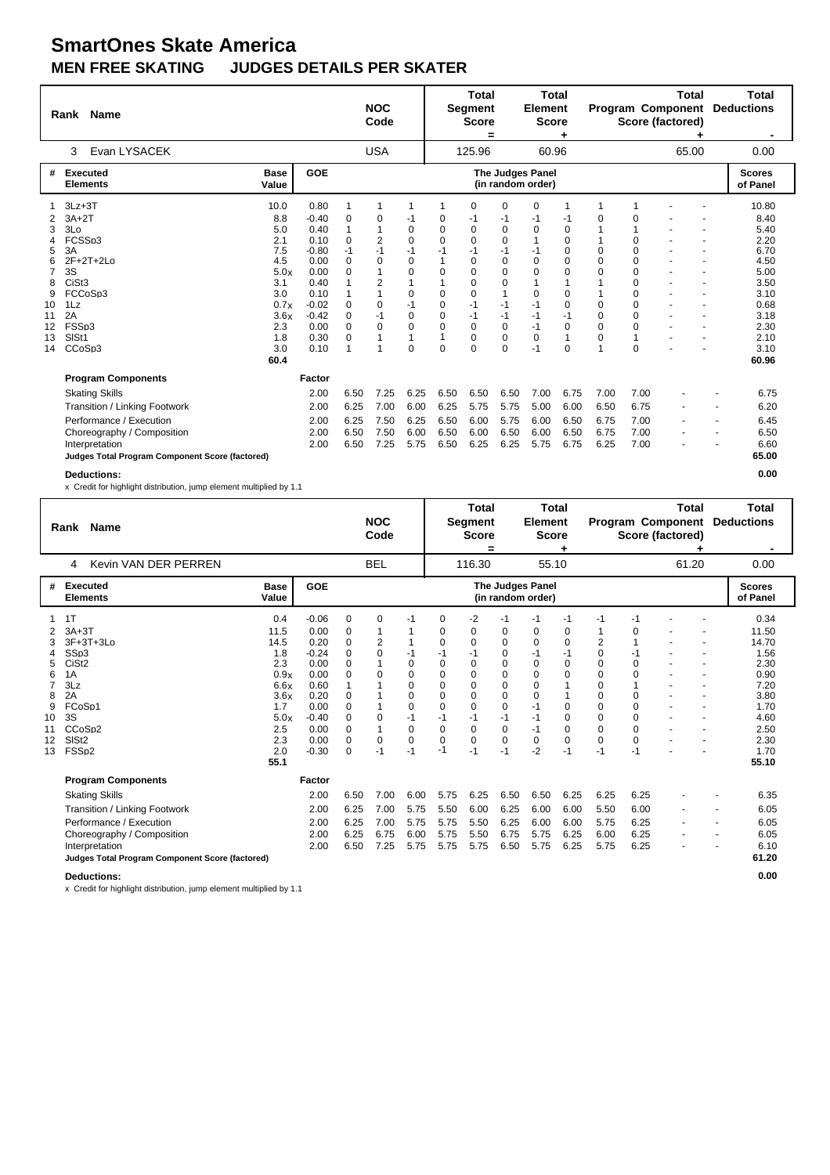| Rank Name |                                                 |                      |         |          | <b>NOC</b><br>Code |              |                  | <b>Total</b><br><b>Segment</b><br><b>Score</b><br>= |      | <b>Total</b><br><b>Element</b><br><b>Score</b> |             |             |             | Total<br>Program Component<br>Score (factored) | Total<br><b>Deductions</b>       |  |
|-----------|-------------------------------------------------|----------------------|---------|----------|--------------------|--------------|------------------|-----------------------------------------------------|------|------------------------------------------------|-------------|-------------|-------------|------------------------------------------------|----------------------------------|--|
|           | Evan LYSACEK<br>3                               |                      |         |          | <b>USA</b>         |              |                  | 125.96                                              |      | 60.96                                          |             |             |             | 65.00                                          | 0.00                             |  |
| #         | <b>Executed</b><br><b>Elements</b>              | <b>Base</b><br>Value | GOE     |          |                    |              |                  |                                                     |      | The Judges Panel<br>(in random order)          |             |             |             |                                                | <b>Scores</b><br>of Panel        |  |
|           | $3Lz + 3T$                                      | 10.0                 | 0.80    | 1        | 1                  | 1            | 1                | $\Omega$                                            | 0    | 0                                              | 1           | 1           |             |                                                | 10.80                            |  |
| 2         | $3A+2T$                                         | 8.8                  | $-0.40$ | $\Omega$ | 0                  | -1           | 0                | -1                                                  | -1   | -1                                             | -1          | 0           | 0           |                                                | 8.40                             |  |
| 3         | 3Lo                                             | 5.0                  | 0.40    | 1        |                    | $\mathbf 0$  | $\Omega$         | $\Omega$                                            | 0    | 0                                              | $\mathbf 0$ |             |             |                                                | 5.40                             |  |
| 4         | FCSSp3                                          | 2.1                  | 0.10    | $\Omega$ | 2                  | $\mathbf 0$  | $\Omega$         | $\Omega$                                            | 0    |                                                | $\mathbf 0$ |             | $\Omega$    |                                                | 2.20                             |  |
| 5         | 3A                                              | 7.5                  | $-0.80$ | $-1$     | $-1$               | $-1$         | -1               | -1                                                  | $-1$ | -1                                             | 0           | $\Omega$    | $\Omega$    |                                                | 6.70                             |  |
| 6         | $2F+2T+2Lo$                                     | 4.5                  | 0.00    | $\Omega$ | $\Omega$           | 0            |                  | $\Omega$                                            | 0    | $\Omega$                                       | $\Omega$    | $\Omega$    | $\Omega$    |                                                | 4.50                             |  |
| 7         | 3S                                              | 5.0x                 | 0.00    | $\Omega$ |                    | $\Omega$     | $\Omega$         | $\Omega$                                            | 0    | $\Omega$                                       | $\Omega$    | $\Omega$    | $\Omega$    |                                                | 5.00                             |  |
| 8         | CiSt <sub>3</sub>                               | 3.1                  | 0.40    |          | 2                  | 1            |                  | $\Omega$                                            | 0    |                                                | 1           |             | $\Omega$    |                                                | 3.50                             |  |
| 9         | FCCoSp3                                         | 3.0                  | 0.10    |          |                    | 0            | $\Omega$         | $\Omega$                                            | 1    | $\Omega$                                       | $\Omega$    |             | $\Omega$    |                                                | 3.10                             |  |
| 10        | 1Lz                                             | 0.7x                 | $-0.02$ | $\Omega$ | 0                  | $-1$         | $\Omega$         | $-1$                                                | $-1$ | $-1$                                           | $\Omega$    | $\Omega$    | $\Omega$    |                                                | 0.68                             |  |
| 11        | 2A                                              | 3.6x                 | $-0.42$ | 0        | $-1$               | $\mathbf 0$  | $\mathbf 0$      | $-1$                                                | $-1$ | $-1$                                           | $-1$        | $\mathbf 0$ | $\Omega$    |                                                | 3.18                             |  |
| 12        | FSSp3                                           | 2.3                  | 0.00    | $\Omega$ | 0                  | $\mathbf 0$  | $\mathbf 0$<br>1 | 0                                                   | 0    | $-1$                                           | $\mathbf 0$ | $\mathbf 0$ | $\mathbf 0$ |                                                | 2.30                             |  |
| 13        | SISt1                                           | 1.8                  | 0.30    | 0        | 4                  | $\mathbf{1}$ |                  | 0                                                   | 0    | 0                                              | 1           | 0<br>1      |             |                                                | 2.10                             |  |
| 14        | CCoSp3                                          | 3.0                  | 0.10    | 1        |                    | $\mathbf 0$  | $\mathbf 0$      | $\Omega$                                            | 0    | $-1$                                           | 0           |             | $\Omega$    |                                                | 3.10                             |  |
|           |                                                 | 60.4                 |         |          |                    |              |                  |                                                     |      |                                                |             |             |             |                                                | 60.96                            |  |
|           | <b>Program Components</b>                       |                      | Factor  |          |                    |              |                  |                                                     |      |                                                |             |             |             |                                                |                                  |  |
|           | <b>Skating Skills</b>                           |                      | 2.00    | 6.50     | 7.25               | 6.25         | 6.50             | 6.50                                                | 6.50 | 7.00                                           | 6.75        | 7.00        | 7.00        |                                                | 6.75                             |  |
|           | Transition / Linking Footwork                   |                      | 2.00    | 6.25     | 7.00               | 6.00         | 6.25             | 5.75                                                | 5.75 | 5.00                                           | 6.00        | 6.50        | 6.75        |                                                | 6.20                             |  |
|           | Performance / Execution                         |                      | 2.00    | 6.25     | 7.50               | 6.25         | 6.50             | 6.00                                                | 5.75 | 6.00                                           | 6.50        | 6.75        | 7.00        |                                                | 6.45<br>$\overline{\phantom{a}}$ |  |
|           | Choreography / Composition                      |                      | 2.00    | 6.50     | 7.50               | 6.00         | 6.50             | 6.00                                                | 6.50 | 6.00                                           | 6.50        | 6.75        | 7.00        |                                                | 6.50                             |  |
|           | Interpretation                                  |                      | 2.00    | 6.50     | 7.25               | 5.75         | 6.50             | 6.25                                                | 6.25 | 5.75                                           | 6.75        | 6.25        | 7.00        |                                                | 6.60                             |  |
|           | Judges Total Program Component Score (factored) |                      |         |          |                    |              |                  |                                                     |      |                                                |             |             |             |                                                | 65.00                            |  |
|           | <b>Deductions:</b>                              |                      |         |          |                    |              |                  |                                                     |      |                                                |             |             |             |                                                | 0.00                             |  |

x Credit for highlight distribution, jump element multiplied by 1.1

|                                                          | Name<br>Rank                                                                                                                                                                         |                                                                                                       |                                                                                                                            | <b>NOC</b><br>Code                                                                                 |                                                            |                                                                                                                              | <b>Total</b><br>Segment<br><b>Score</b><br>=                                                                                       |                                                                                                                                   | <b>Total</b><br><b>Element</b><br><b>Score</b>                                                                                |                                                                                                                       |                                                                                                                  |                                                                                                                                        | <b>Total</b><br><b>Program Component</b><br>Score (factored)                                            |       | Total<br><b>Deductions</b>    |                                                                                                                 |
|----------------------------------------------------------|--------------------------------------------------------------------------------------------------------------------------------------------------------------------------------------|-------------------------------------------------------------------------------------------------------|----------------------------------------------------------------------------------------------------------------------------|----------------------------------------------------------------------------------------------------|------------------------------------------------------------|------------------------------------------------------------------------------------------------------------------------------|------------------------------------------------------------------------------------------------------------------------------------|-----------------------------------------------------------------------------------------------------------------------------------|-------------------------------------------------------------------------------------------------------------------------------|-----------------------------------------------------------------------------------------------------------------------|------------------------------------------------------------------------------------------------------------------|----------------------------------------------------------------------------------------------------------------------------------------|---------------------------------------------------------------------------------------------------------|-------|-------------------------------|-----------------------------------------------------------------------------------------------------------------|
|                                                          | Kevin VAN DER PERREN<br>4                                                                                                                                                            |                                                                                                       |                                                                                                                            |                                                                                                    | <b>BEL</b>                                                 |                                                                                                                              |                                                                                                                                    | 116.30                                                                                                                            |                                                                                                                               | 55.10                                                                                                                 |                                                                                                                  |                                                                                                                                        |                                                                                                         | 61.20 |                               | 0.00                                                                                                            |
| #                                                        | Executed<br><b>Elements</b>                                                                                                                                                          | <b>Base</b><br>Value                                                                                  | <b>GOE</b>                                                                                                                 |                                                                                                    |                                                            |                                                                                                                              |                                                                                                                                    |                                                                                                                                   |                                                                                                                               | The Judges Panel<br>(in random order)                                                                                 |                                                                                                                  |                                                                                                                                        |                                                                                                         |       |                               | <b>Scores</b><br>of Panel                                                                                       |
| -1<br>3<br>4<br>5<br>6<br>8<br>9<br>10<br>11<br>12<br>13 | 1T<br>$3A+3T$<br>$3F+3T+3Lo$<br>SSp3<br>CiSt <sub>2</sub><br>1A<br>3Lz<br>2A<br>FCoSp1<br>3S<br>CCoSp2<br>SIS <sub>t2</sub><br>FSSp2<br><b>Program Components</b>                    | 0.4<br>11.5<br>14.5<br>1.8<br>2.3<br>0.9x<br>6.6x<br>3.6x<br>1.7<br>5.0x<br>2.5<br>2.3<br>2.0<br>55.1 | $-0.06$<br>0.00<br>0.20<br>$-0.24$<br>0.00<br>0.00<br>0.60<br>0.20<br>0.00<br>$-0.40$<br>0.00<br>0.00<br>$-0.30$<br>Factor | 0<br>0<br>$\Omega$<br>$\Omega$<br>$\Omega$<br>$\Omega$<br>0<br>0<br>0<br>0<br>$\Omega$<br>$\Omega$ | 0<br>2<br>$\Omega$<br>$\Omega$<br>0<br>$\mathbf 0$<br>$-1$ | $-1$<br>1<br>1<br>$-1$<br>$\mathbf 0$<br>$\Omega$<br>$\Omega$<br>$\Omega$<br>0<br>$-1$<br>$\mathbf 0$<br>$\mathbf 0$<br>$-1$ | $\Omega$<br>0<br>$\Omega$<br>-1<br>$\Omega$<br>$\Omega$<br>$\Omega$<br>$\Omega$<br>0<br>$-1$<br>$\mathbf 0$<br>$\mathbf 0$<br>$-1$ | $-2$<br>0<br>$\Omega$<br>$-1$<br>$\Omega$<br>$\Omega$<br>$\Omega$<br>$\Omega$<br>$\Omega$<br>$-1$<br>$\Omega$<br>$\Omega$<br>$-1$ | $-1$<br>0<br>0<br>0<br>$\mathbf 0$<br>$\mathbf 0$<br>$\pmb{0}$<br>$\Omega$<br>0<br>$-1$<br>$\mathbf 0$<br>$\mathbf 0$<br>$-1$ | -1<br>0<br>$\Omega$<br>$-1$<br>$\Omega$<br>$\Omega$<br>$\Omega$<br>$\Omega$<br>-1<br>$-1$<br>$-1$<br>$\Omega$<br>$-2$ | -1<br>0<br>$\Omega$<br>-1<br>$\Omega$<br>$\Omega$<br>1<br>0<br>$\mathbf 0$<br>$\mathbf 0$<br>$\mathbf 0$<br>$-1$ | $-1$<br>$\overline{2}$<br>$\Omega$<br>$\Omega$<br>$\Omega$<br>$\Omega$<br>$\Omega$<br>$\Omega$<br>0<br>$\mathbf 0$<br>$\Omega$<br>$-1$ | -1<br>0<br>$-1$<br>$\Omega$<br>$\Omega$<br>$\Omega$<br>$\Omega$<br>$\mathbf 0$<br>0<br>$\Omega$<br>$-1$ |       |                               | 0.34<br>11.50<br>14.70<br>1.56<br>2.30<br>0.90<br>7.20<br>3.80<br>1.70<br>4.60<br>2.50<br>2.30<br>1.70<br>55.10 |
|                                                          | <b>Skating Skills</b><br>Transition / Linking Footwork<br>Performance / Execution<br>Choreography / Composition<br>Interpretation<br>Judges Total Program Component Score (factored) |                                                                                                       | 2.00<br>2.00<br>2.00<br>2.00<br>2.00                                                                                       | 6.50<br>6.25<br>6.25<br>6.25<br>6.50                                                               | 7.00<br>7.00<br>7.00<br>6.75<br>7.25                       | 6.00<br>5.75<br>5.75<br>6.00<br>5.75                                                                                         | 5.75<br>5.50<br>5.75<br>5.75<br>5.75                                                                                               | 6.25<br>6.00<br>5.50<br>5.50<br>5.75                                                                                              | 6.50<br>6.25<br>6.25<br>6.75<br>6.50                                                                                          | 6.50<br>6.00<br>6.00<br>5.75<br>5.75                                                                                  | 6.25<br>6.00<br>6.00<br>6.25<br>6.25                                                                             | 6.25<br>5.50<br>5.75<br>6.00<br>5.75                                                                                                   | 6.25<br>6.00<br>6.25<br>6.25<br>6.25                                                                    |       | ٠<br>$\overline{\phantom{a}}$ | 6.35<br>6.05<br>6.05<br>6.05<br>6.10<br>61.20                                                                   |
|                                                          | <b>Deductions:</b>                                                                                                                                                                   |                                                                                                       |                                                                                                                            |                                                                                                    |                                                            |                                                                                                                              |                                                                                                                                    |                                                                                                                                   |                                                                                                                               |                                                                                                                       |                                                                                                                  |                                                                                                                                        |                                                                                                         |       |                               | 0.00                                                                                                            |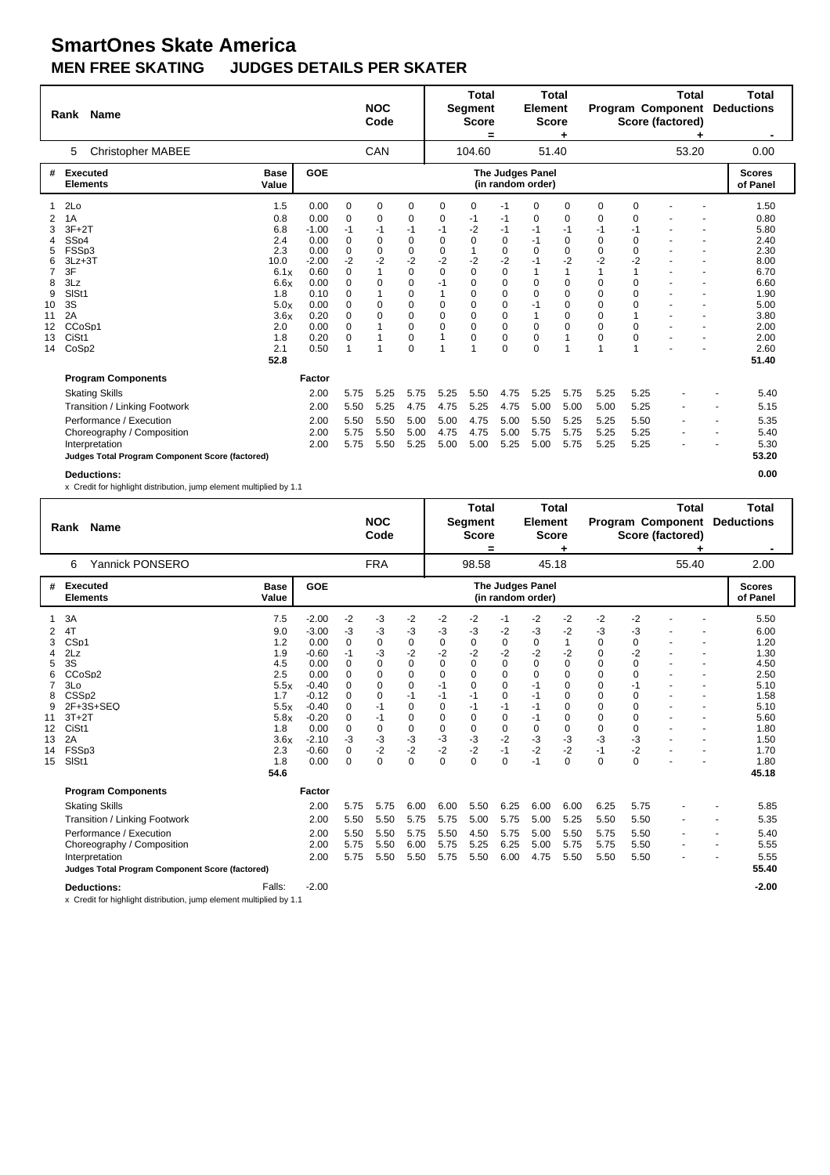|    | Rank              | <b>Name</b>                                     |                      |            |             | <b>NOC</b><br>Code |                |                | <b>Total</b><br><b>Segment</b><br><b>Score</b><br>= |             | <b>Total</b><br><b>Element</b><br><b>Score</b> |              |          |          | <b>Total</b><br><b>Program Component</b><br>Score (factored) | <b>Total</b><br><b>Deductions</b> |
|----|-------------------|-------------------------------------------------|----------------------|------------|-------------|--------------------|----------------|----------------|-----------------------------------------------------|-------------|------------------------------------------------|--------------|----------|----------|--------------------------------------------------------------|-----------------------------------|
|    | 5                 | <b>Christopher MABEE</b>                        |                      |            |             | CAN                |                |                | 104.60                                              |             | 51.40                                          |              |          |          | 53.20                                                        | 0.00                              |
| #  |                   | <b>Executed</b><br><b>Elements</b>              | <b>Base</b><br>Value | <b>GOE</b> |             |                    |                |                |                                                     |             | The Judges Panel<br>(in random order)          |              |          |          |                                                              | <b>Scores</b><br>of Panel         |
| 1  | 2Lo               |                                                 | 1.5                  | 0.00       | 0           | $\mathbf 0$        | 0              | $\mathbf 0$    | 0                                                   | $-1$        | $\Omega$                                       | $\mathbf 0$  | 0        | 0        |                                                              | 1.50                              |
| 2  | 1A                |                                                 | 0.8                  | 0.00       | $\Omega$    | 0                  | 0              | 0              | -1                                                  | $-1$        | $\Omega$                                       | 0            | 0        | 0        |                                                              | 0.80                              |
| 3  | $3F+2T$           |                                                 | 6.8                  | $-1.00$    | $-1$        | $-1$               | $-1$           | $-1$           | $-2$                                                | $-1$        | $-1$                                           | $-1$         | $-1$     | $-1$     |                                                              | 5.80                              |
| 4  | SS <sub>D4</sub>  |                                                 | 2.4                  | 0.00       | $\mathbf 0$ | 0                  | $\mathbf 0$    | $\Omega$       | $\Omega$                                            | $\mathbf 0$ | $-1$                                           | $\mathbf 0$  | 0        | $\Omega$ |                                                              | 2.40                              |
| 5  | FSSp3             |                                                 | 2.3                  | 0.00       | $\mathbf 0$ | $\Omega$           | $\mathbf 0$    | $\mathbf 0$    | 1                                                   | $\mathbf 0$ | $\Omega$                                       | $\mathbf 0$  | 0        | 0        |                                                              | 2.30                              |
| 6  | $3Lz + 3T$        |                                                 | 10.0                 | $-2.00$    | $-2$        | $-2$               | $-2$           | $-2$           | $-2$                                                | $-2$        | $-1$                                           | $-2$         | $-2$     | $-2$     |                                                              | 8.00                              |
|    | 3F                |                                                 | 6.1x                 | 0.60       | 0           |                    | $\Omega$       | $\Omega$       | $\Omega$                                            | 0           |                                                | $\mathbf{1}$ | 1        | 1        |                                                              | 6.70                              |
| 8  | 3Lz               |                                                 | 6.6x                 | 0.00       | 0           | $\Omega$           | $\mathbf 0$    | $-1$           | $\Omega$                                            | 0           | $\Omega$                                       | $\mathbf 0$  | 0        | $\Omega$ |                                                              | 6.60                              |
| 9  | SIS <sub>t1</sub> |                                                 | 1.8                  | 0.10       | 0           |                    | $\mathbf 0$    |                | 0                                                   | 0           | $\Omega$                                       | $\mathbf 0$  | 0        | $\Omega$ |                                                              | 1.90                              |
| 10 | 3S                |                                                 | 5.0x                 | 0.00       | 0           | 0                  | $\mathbf 0$    | $\mathbf 0$    | $\Omega$                                            | 0           | $-1$                                           | $\mathbf 0$  | 0        | $\Omega$ |                                                              | 5.00                              |
| 11 | 2A                |                                                 | 3.6x                 | 0.20       | 0           | 0                  | $\mathbf 0$    | $\mathbf 0$    | $\mathbf 0$                                         | 0           | 1                                              | $\mathbf 0$  | 0        | 1        |                                                              | 3.80                              |
| 12 | CCoSp1            |                                                 | 2.0                  | 0.00       | 0           |                    | 0              | $\mathbf 0$    | $\mathbf 0$                                         | 0           | $\Omega$                                       | $\Omega$     | $\Omega$ | $\Omega$ |                                                              | 2.00                              |
| 13 | CiSt1             |                                                 | 1.8                  | 0.20       | 0           |                    | 0              | 1              | 0                                                   | 0           | 0                                              | 1            | 0<br>1   | 0        |                                                              | 2.00                              |
| 14 | CoSp2             |                                                 | 2.1                  | 0.50       |             |                    | $\overline{0}$ | $\overline{1}$ |                                                     | $\Omega$    | $\Omega$                                       | 1            |          | 1        |                                                              | 2.60                              |
|    |                   |                                                 | 52.8                 |            |             |                    |                |                |                                                     |             |                                                |              |          |          |                                                              | 51.40                             |
|    |                   | <b>Program Components</b>                       |                      | Factor     |             |                    |                |                |                                                     |             |                                                |              |          |          |                                                              |                                   |
|    |                   | <b>Skating Skills</b>                           |                      | 2.00       | 5.75        | 5.25               | 5.75           | 5.25           | 5.50                                                | 4.75        | 5.25                                           | 5.75         | 5.25     | 5.25     |                                                              | 5.40                              |
|    |                   | Transition / Linking Footwork                   |                      | 2.00       | 5.50        | 5.25               | 4.75           | 4.75           | 5.25                                                | 4.75        | 5.00                                           | 5.00         | 5.00     | 5.25     |                                                              | 5.15                              |
|    |                   | Performance / Execution                         |                      | 2.00       | 5.50        | 5.50               | 5.00           | 5.00           | 4.75                                                | 5.00        | 5.50                                           | 5.25         | 5.25     | 5.50     |                                                              | 5.35                              |
|    |                   | Choreography / Composition                      |                      | 2.00       | 5.75        | 5.50               | 5.00           | 4.75           | 4.75                                                | 5.00        | 5.75                                           | 5.75         | 5.25     | 5.25     |                                                              | 5.40                              |
|    |                   | Interpretation                                  |                      | 2.00       | 5.75        | 5.50               | 5.25           | 5.00           | 5.00                                                | 5.25        | 5.00                                           | 5.75         | 5.25     | 5.25     |                                                              | 5.30                              |
|    |                   | Judges Total Program Component Score (factored) |                      |            |             |                    |                |                |                                                     |             |                                                |              |          |          |                                                              | 53.20                             |
|    |                   | <b>Deductions:</b>                              |                      |            |             |                    |                |                |                                                     |             |                                                |              |          |          |                                                              | 0.00                              |

|                                                              | Rank Name                                                                                                                                                                            |                                                                                             |                                                                                                                                 |                                                                                                                                     | <b>NOC</b><br>Code                                                                                   |                                                                                                                                           |                                                                                                                                    | <b>Total</b><br>Segment<br><b>Score</b>                                                                     |                                                                                         | <b>Total</b><br><b>Element</b><br><b>Score</b>                                                                       |                                                                                                                           |                                                                                                                  |                                                                                                              | <b>Total</b><br><b>Program Component</b><br>Score (factored)                                     | <b>Total</b><br><b>Deductions</b>                                                                    |
|--------------------------------------------------------------|--------------------------------------------------------------------------------------------------------------------------------------------------------------------------------------|---------------------------------------------------------------------------------------------|---------------------------------------------------------------------------------------------------------------------------------|-------------------------------------------------------------------------------------------------------------------------------------|------------------------------------------------------------------------------------------------------|-------------------------------------------------------------------------------------------------------------------------------------------|------------------------------------------------------------------------------------------------------------------------------------|-------------------------------------------------------------------------------------------------------------|-----------------------------------------------------------------------------------------|----------------------------------------------------------------------------------------------------------------------|---------------------------------------------------------------------------------------------------------------------------|------------------------------------------------------------------------------------------------------------------|--------------------------------------------------------------------------------------------------------------|--------------------------------------------------------------------------------------------------|------------------------------------------------------------------------------------------------------|
|                                                              | Yannick PONSERO<br>6                                                                                                                                                                 |                                                                                             |                                                                                                                                 |                                                                                                                                     | <b>FRA</b>                                                                                           |                                                                                                                                           |                                                                                                                                    | $\equiv$<br>98.58                                                                                           |                                                                                         | 45.18                                                                                                                |                                                                                                                           |                                                                                                                  |                                                                                                              | 55.40                                                                                            | 2.00                                                                                                 |
| #                                                            | Executed<br><b>Elements</b>                                                                                                                                                          | <b>Base</b><br>Value                                                                        | GOE                                                                                                                             |                                                                                                                                     |                                                                                                      |                                                                                                                                           |                                                                                                                                    |                                                                                                             |                                                                                         | <b>The Judges Panel</b><br>(in random order)                                                                         |                                                                                                                           |                                                                                                                  |                                                                                                              |                                                                                                  | <b>Scores</b><br>of Panel                                                                            |
| 2<br>3<br>4<br>5<br>6<br>7<br>8<br>9<br>11<br>12<br>13<br>14 | 3A<br>4T<br>CS <sub>p1</sub><br>2Lz<br>3S<br>CCoSp2<br>3Lo<br>CSS <sub>D2</sub><br>2F+3S+SEQ<br>$3T+2T$<br>CiSt1<br>2A<br>FSSp3                                                      | 7.5<br>9.0<br>1.2<br>1.9<br>4.5<br>2.5<br>5.5x<br>1.7<br>5.5x<br>5.8x<br>1.8<br>3.6x<br>2.3 | $-2.00$<br>$-3.00$<br>0.00<br>$-0.60$<br>0.00<br>0.00<br>$-0.40$<br>$-0.12$<br>$-0.40$<br>$-0.20$<br>0.00<br>$-2.10$<br>$-0.60$ | $-2$<br>-3<br>$\Omega$<br>$-1$<br>$\Omega$<br>$\Omega$<br>$\Omega$<br>$\Omega$<br>$\Omega$<br>$\mathbf 0$<br>0<br>-3<br>$\mathbf 0$ | -3<br>-3<br>0<br>-3<br>$\Omega$<br>$\Omega$<br>0<br>0<br>$-1$<br>$-1$<br>$\mathbf 0$<br>$-3$<br>$-2$ | $-2$<br>-3<br>$\pmb{0}$<br>$-2$<br>$\Omega$<br>$\Omega$<br>$\mathbf 0$<br>$-1$<br>$\mathbf 0$<br>$\mathbf 0$<br>$\mathbf 0$<br>-3<br>$-2$ | $-2$<br>$-3$<br>$\mathbf 0$<br>$-2$<br>$\Omega$<br>$\Omega$<br>$-1$<br>$-1$<br>$\Omega$<br>$\Omega$<br>$\mathbf 0$<br>$-3$<br>$-2$ | -2<br>-3<br>0<br>$-2$<br>$\Omega$<br>$\Omega$<br>$\Omega$<br>$-1$<br>$-1$<br>$\mathbf 0$<br>0<br>-3<br>$-2$ | $-1$<br>$-2$<br>$\pmb{0}$<br>$-2$<br>0<br>0<br>0<br>0<br>$-1$<br>0<br>0<br>$-2$<br>$-1$ | -2<br>-3<br>$\mathbf 0$<br>$-2$<br>$\Omega$<br>$\Omega$<br>$-1$<br>$-1$<br>$-1$<br>$-1$<br>$\mathbf 0$<br>-3<br>$-2$ | $-2$<br>$-2$<br>$\mathbf{1}$<br>$-2$<br>$\Omega$<br>$\Omega$<br>0<br>$\mathbf 0$<br>0<br>$\mathbf 0$<br>0<br>$-3$<br>$-2$ | $-2$<br>-3<br>0<br>$\Omega$<br>$\Omega$<br>$\Omega$<br>$\Omega$<br>$\Omega$<br>0<br>0<br>$\pmb{0}$<br>-3<br>$-1$ | $-2$<br>-3<br>0<br>$-2$<br>$\Omega$<br>$\Omega$<br>-1<br>$\Omega$<br>$\Omega$<br>$\Omega$<br>0<br>-3<br>$-2$ | ٠<br>٠<br>$\ddot{\phantom{1}}$<br>$\blacksquare$<br>÷.<br>$\ddot{\phantom{1}}$<br>$\blacksquare$ | 5.50<br>6.00<br>1.20<br>1.30<br>4.50<br>2.50<br>5.10<br>1.58<br>5.10<br>5.60<br>1.80<br>1.50<br>1.70 |
| 15                                                           | SISt1                                                                                                                                                                                | 1.8<br>54.6                                                                                 | 0.00                                                                                                                            | $\Omega$                                                                                                                            | $\Omega$                                                                                             | $\Omega$                                                                                                                                  | $\Omega$                                                                                                                           | $\Omega$                                                                                                    | $\Omega$                                                                                | $-1$                                                                                                                 | $\Omega$                                                                                                                  | $\Omega$                                                                                                         | $\Omega$                                                                                                     |                                                                                                  | 1.80<br>45.18                                                                                        |
|                                                              | <b>Program Components</b>                                                                                                                                                            |                                                                                             | Factor                                                                                                                          |                                                                                                                                     |                                                                                                      |                                                                                                                                           |                                                                                                                                    |                                                                                                             |                                                                                         |                                                                                                                      |                                                                                                                           |                                                                                                                  |                                                                                                              |                                                                                                  |                                                                                                      |
|                                                              | <b>Skating Skills</b><br>Transition / Linking Footwork<br>Performance / Execution<br>Choreography / Composition<br>Interpretation<br>Judges Total Program Component Score (factored) |                                                                                             | 2.00<br>2.00<br>2.00<br>2.00<br>2.00                                                                                            | 5.75<br>5.50<br>5.50<br>5.75<br>5.75                                                                                                | 5.75<br>5.50<br>5.50<br>5.50<br>5.50                                                                 | 6.00<br>5.75<br>5.75<br>6.00<br>5.50                                                                                                      | 6.00<br>5.75<br>5.50<br>5.75<br>5.75                                                                                               | 5.50<br>5.00<br>4.50<br>5.25<br>5.50                                                                        | 6.25<br>5.75<br>5.75<br>6.25<br>6.00                                                    | 6.00<br>5.00<br>5.00<br>5.00<br>4.75                                                                                 | 6.00<br>5.25<br>5.50<br>5.75<br>5.50                                                                                      | 6.25<br>5.50<br>5.75<br>5.75<br>5.50                                                                             | 5.75<br>5.50<br>5.50<br>5.50<br>5.50                                                                         |                                                                                                  | 5.85<br>5.35<br>5.40<br>5.55<br>5.55<br>55.40                                                        |
|                                                              | <b>Deductions:</b><br>x Credit for highlight distribution, jump element multiplied by 1.1                                                                                            | Falls:                                                                                      | $-2.00$                                                                                                                         |                                                                                                                                     |                                                                                                      |                                                                                                                                           |                                                                                                                                    |                                                                                                             |                                                                                         |                                                                                                                      |                                                                                                                           |                                                                                                                  |                                                                                                              |                                                                                                  | $-2.00$                                                                                              |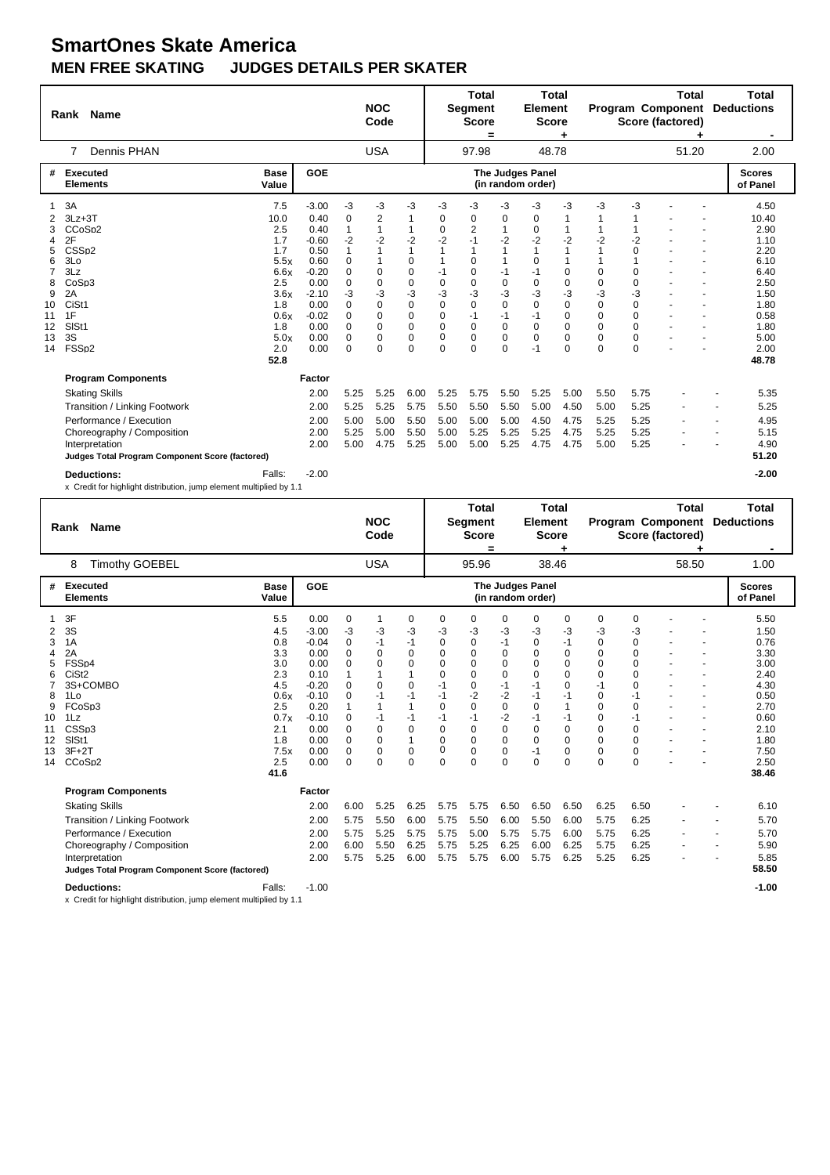|          | <b>Name</b><br>Rank                                                                       |                      |                 |                          | <b>NOC</b><br>Code     |                         |                         | <b>Total</b><br><b>Segment</b><br><b>Score</b><br>= |                     | <b>Total</b><br>Element<br><b>Score</b> |                              |                            |                         | <b>Total</b><br><b>Program Component</b><br>Score (factored) |   | <b>Total</b><br><b>Deductions</b> |
|----------|-------------------------------------------------------------------------------------------|----------------------|-----------------|--------------------------|------------------------|-------------------------|-------------------------|-----------------------------------------------------|---------------------|-----------------------------------------|------------------------------|----------------------------|-------------------------|--------------------------------------------------------------|---|-----------------------------------|
|          | Dennis PHAN<br>7                                                                          |                      |                 |                          | <b>USA</b>             |                         |                         | 97.98                                               |                     | 48.78                                   |                              |                            |                         | 51.20                                                        |   | 2.00                              |
| #        | Executed<br><b>Elements</b>                                                               | <b>Base</b><br>Value | GOE             |                          |                        |                         |                         |                                                     |                     | The Judges Panel<br>(in random order)   |                              |                            |                         |                                                              |   | <b>Scores</b><br>of Panel         |
| 2        | 3A<br>$3Lz + 3T$                                                                          | 7.5<br>10.0          | $-3.00$<br>0.40 | -3<br>$\mathbf 0$        | $-3$<br>$\overline{2}$ | -3<br>$\mathbf{1}$      | -3<br>0                 | -3<br>0                                             | -3<br>0             | -3<br>0                                 | -3<br>1                      | -3                         | -3                      |                                                              |   | 4.50<br>10.40                     |
| 3<br>4   | CCoSp2<br>2F                                                                              | 2.5<br>1.7           | 0.40<br>$-0.60$ | $\mathbf{1}$<br>$-2$     | 1<br>$-2$              | 1<br>$-2$               | $\mathbf 0$<br>$-2$     | 2<br>$-1$                                           | $-2$                | 0<br>$-2$                               | 1<br>$-2$                    | $-2$                       | $-2$                    |                                                              |   | 2.90<br>1.10                      |
| 5<br>6   | CSS <sub>D2</sub><br>3Lo                                                                  | 1.7<br>5.5x          | 0.50<br>0.60    | $\mathbf{1}$<br>$\Omega$ |                        | $\mathbf{1}$<br>0       | $\mathbf{1}$<br>1       | $\overline{1}$<br>$\mathbf 0$                       | 1<br>1              | 1<br>$\Omega$                           | $\mathbf{1}$<br>$\mathbf{1}$ | 1                          | $\Omega$<br>1           |                                                              |   | 2.20<br>6.10                      |
| 7<br>8   | 3Lz<br>CoSp3                                                                              | 6.6x<br>2.5          | $-0.20$<br>0.00 | $\Omega$<br>$\mathbf 0$  | 0<br>0                 | 0<br>$\mathbf 0$        | $-1$<br>$\mathbf 0$     | 0<br>0                                              | $-1$<br>$\mathbf 0$ | $-1$<br>0                               | $\mathbf 0$<br>$\mathbf 0$   | $\mathbf 0$<br>$\mathbf 0$ | $\Omega$<br>$\Omega$    |                                                              |   | 6.40<br>2.50                      |
| 9<br>10  | 2A<br>CiSt1                                                                               | 3.6x<br>1.8          | $-2.10$<br>0.00 | -3<br>$\Omega$           | -3<br>$\Omega$         | -3<br>$\mathbf 0$       | -3<br>$\Omega$          | $-3$<br>$\mathbf 0$                                 | -3<br>$\Omega$      | -3<br>$\Omega$                          | -3<br>$\mathbf 0$            | -3<br>$\Omega$             | -3<br>$\Omega$          |                                                              |   | 1.50<br>1.80                      |
| 11<br>12 | 1F<br>SISt1                                                                               | 0.6x<br>1.8          | $-0.02$<br>0.00 | $\Omega$<br>$\Omega$     | $\Omega$<br>$\Omega$   | $\Omega$<br>$\Omega$    | $\Omega$<br>$\Omega$    | $-1$<br>$\Omega$                                    | $-1$<br>0           | $-1$<br>$\Omega$                        | $\Omega$<br>$\Omega$         | $\Omega$<br>$\Omega$       | $\Omega$<br>$\Omega$    |                                                              |   | 0.58<br>1.80                      |
| 13<br>14 | 3S<br>FSSp2                                                                               | 5.0x<br>2.0          | 0.00<br>0.00    | $\mathbf 0$<br>$\Omega$  | 0<br>0                 | $\mathbf 0$<br>$\Omega$ | $\mathbf 0$<br>$\Omega$ | $\mathbf 0$<br>$\Omega$                             | 0<br>$\Omega$       | 0<br>$-1$                               | $\mathbf 0$<br>$\Omega$      | $\mathbf 0$<br>$\Omega$    | $\mathbf 0$<br>$\Omega$ |                                                              |   | 5.00<br>2.00                      |
|          | <b>Program Components</b>                                                                 | 52.8                 | Factor          |                          |                        |                         |                         |                                                     |                     |                                         |                              |                            |                         |                                                              |   | 48.78                             |
|          | <b>Skating Skills</b>                                                                     |                      | 2.00            | 5.25                     | 5.25                   | 6.00                    | 5.25                    | 5.75                                                | 5.50                | 5.25                                    | 5.00                         | 5.50                       | 5.75                    |                                                              |   | 5.35                              |
|          | Transition / Linking Footwork                                                             |                      | 2.00            | 5.25                     | 5.25                   | 5.75                    | 5.50                    | 5.50                                                | 5.50                | 5.00                                    | 4.50                         | 5.00                       | 5.25                    |                                                              | ٠ | 5.25                              |
|          | Performance / Execution<br>Choreography / Composition                                     |                      | 2.00<br>2.00    | 5.00<br>5.25             | 5.00<br>5.00           | 5.50<br>5.50            | 5.00<br>5.00            | 5.00<br>5.25                                        | 5.00<br>5.25        | 4.50<br>5.25                            | 4.75<br>4.75                 | 5.25<br>5.25               | 5.25<br>5.25            |                                                              | ٠ | 4.95<br>5.15                      |
|          | Interpretation<br>Judges Total Program Component Score (factored)                         |                      | 2.00            | 5.00                     | 4.75                   | 5.25                    | 5.00                    | 5.00                                                | 5.25                | 4.75                                    | 4.75                         | 5.00                       | 5.25                    |                                                              |   | 4.90<br>51.20                     |
|          | <b>Deductions:</b><br>x Credit for highlight distribution, jump element multiplied by 1.1 | Falls:               | $-2.00$         |                          |                        |                         |                         |                                                     |                     |                                         |                              |                            |                         |                                                              |   | $-2.00$                           |

|                                                          | <b>Name</b><br>Rank                                                                                                                                            |                                                 |                                                                             |                                                                                                     |                                                               | <b>NOC</b><br>Code                            |                                                                                    |                                                                                  | <b>Total</b><br>Segment<br><b>Score</b><br>=                                    |                                                                           | <b>Total</b><br>Element<br><b>Score</b>                                            |                                                                                |                                                              |                                                                                                    | Total<br><b>Program Component</b><br>Score (factored) |                | Total<br><b>Deductions</b>                                                           |
|----------------------------------------------------------|----------------------------------------------------------------------------------------------------------------------------------------------------------------|-------------------------------------------------|-----------------------------------------------------------------------------|-----------------------------------------------------------------------------------------------------|---------------------------------------------------------------|-----------------------------------------------|------------------------------------------------------------------------------------|----------------------------------------------------------------------------------|---------------------------------------------------------------------------------|---------------------------------------------------------------------------|------------------------------------------------------------------------------------|--------------------------------------------------------------------------------|--------------------------------------------------------------|----------------------------------------------------------------------------------------------------|-------------------------------------------------------|----------------|--------------------------------------------------------------------------------------|
|                                                          | 8                                                                                                                                                              | <b>Timothy GOEBEL</b>                           |                                                                             |                                                                                                     |                                                               | <b>USA</b>                                    |                                                                                    |                                                                                  | 95.96                                                                           |                                                                           | 38.46                                                                              |                                                                                |                                                              |                                                                                                    | 58.50                                                 |                | 1.00                                                                                 |
| #                                                        | <b>Executed</b><br><b>Elements</b>                                                                                                                             |                                                 | <b>Base</b><br>Value                                                        | GOE                                                                                                 |                                                               |                                               |                                                                                    |                                                                                  |                                                                                 |                                                                           | <b>The Judges Panel</b><br>(in random order)                                       |                                                                                |                                                              |                                                                                                    |                                                       |                | <b>Scores</b><br>of Panel                                                            |
| $\overline{2}$<br>3<br>4<br>5<br>6<br>8<br>9<br>10<br>11 | 3F<br>3S<br>1A<br>2A<br>FSSp4<br>CiSt <sub>2</sub><br>3S+COMBO<br>1Lo<br>FCoSp3<br>1Lz<br>CSS <sub>p3</sub>                                                    |                                                 | 5.5<br>4.5<br>0.8<br>3.3<br>3.0<br>2.3<br>4.5<br>0.6x<br>2.5<br>0.7x<br>2.1 | 0.00<br>$-3.00$<br>$-0.04$<br>0.00<br>0.00<br>0.10<br>$-0.20$<br>$-0.10$<br>0.20<br>$-0.10$<br>0.00 | 0<br>-3<br>0<br>0<br>$\Omega$<br>1<br>$\Omega$<br>0<br>0<br>0 | 1<br>-3<br>-1<br>0<br>0<br>0<br>-1<br>-1<br>0 | 0<br>$-3$<br>$-1$<br>0<br>0<br>1<br>0<br>-1<br>$\mathbf{1}$<br>$-1$<br>$\mathbf 0$ | 0<br>-3<br>0<br>0<br>$\Omega$<br>$\Omega$<br>$-1$<br>$-1$<br>$\Omega$<br>-1<br>0 | 0<br>-3<br>0<br>0<br>$\Omega$<br>$\Omega$<br>0<br>$-2$<br>$\Omega$<br>$-1$<br>0 | 0<br>$-3$<br>$-1$<br>0<br>0<br>$\Omega$<br>$-1$<br>$-2$<br>0<br>$-2$<br>0 | 0<br>-3<br>0<br>0<br>$\Omega$<br>$\Omega$<br>$-1$<br>$-1$<br>$\Omega$<br>$-1$<br>0 | 0<br>-3<br>$-1$<br>0<br>0<br>$\Omega$<br>0<br>$-1$<br>1<br>$-1$<br>$\mathbf 0$ | 0<br>-3<br>0<br>0<br>0<br>$\Omega$<br>-1<br>0<br>0<br>0<br>0 | 0<br>-3<br>0<br>$\Omega$<br>$\Omega$<br>$\Omega$<br>$\Omega$<br>-1<br>$\Omega$<br>$-1$<br>$\Omega$ |                                                       |                | 5.50<br>1.50<br>0.76<br>3.30<br>3.00<br>2.40<br>4.30<br>0.50<br>2.70<br>0.60<br>2.10 |
| 12<br>13<br>14                                           | SIS <sub>t1</sub><br>$3F+2T$<br>CCoSp2                                                                                                                         |                                                 | 1.8<br>7.5x<br>2.5<br>41.6                                                  | 0.00<br>0.00<br>0.00                                                                                | $\mathbf 0$<br>$\mathbf 0$<br>$\Omega$                        | 0<br>0<br>0                                   | $\mathbf{1}$<br>$\mathbf 0$<br>$\Omega$                                            | $\mathbf 0$<br>0<br>$\Omega$                                                     | 0<br>0<br>$\Omega$                                                              | 0<br>0<br>$\Omega$                                                        | 0<br>$-1$<br>$\Omega$                                                              | $\mathbf 0$<br>$\mathbf 0$<br>$\Omega$                                         | 0<br>0<br>$\Omega$                                           | $\Omega$<br>0<br>$\Omega$                                                                          |                                                       |                | 1.80<br>7.50<br>2.50<br>38.46                                                        |
|                                                          | <b>Program Components</b><br><b>Skating Skills</b><br>Transition / Linking Footwork<br>Performance / Execution<br>Choreography / Composition<br>Interpretation | Judges Total Program Component Score (factored) |                                                                             | Factor<br>2.00<br>2.00<br>2.00<br>2.00<br>2.00                                                      | 6.00<br>5.75<br>5.75<br>6.00<br>5.75                          | 5.25<br>5.50<br>5.25<br>5.50<br>5.25          | 6.25<br>6.00<br>5.75<br>6.25<br>6.00                                               | 5.75<br>5.75<br>5.75<br>5.75<br>5.75                                             | 5.75<br>5.50<br>5.00<br>5.25<br>5.75                                            | 6.50<br>6.00<br>5.75<br>6.25<br>6.00                                      | 6.50<br>5.50<br>5.75<br>6.00<br>5.75                                               | 6.50<br>6.00<br>6.00<br>6.25<br>6.25                                           | 6.25<br>5.75<br>5.75<br>5.75<br>5.25                         | 6.50<br>6.25<br>6.25<br>6.25<br>6.25                                                               |                                                       | $\blacksquare$ | 6.10<br>5.70<br>5.70<br>5.90<br>5.85<br>58.50                                        |
|                                                          | <b>Deductions:</b>                                                                                                                                             |                                                 | Falls:                                                                      | $-1.00$                                                                                             |                                                               |                                               |                                                                                    |                                                                                  |                                                                                 |                                                                           |                                                                                    |                                                                                |                                                              |                                                                                                    |                                                       |                | $-1.00$                                                                              |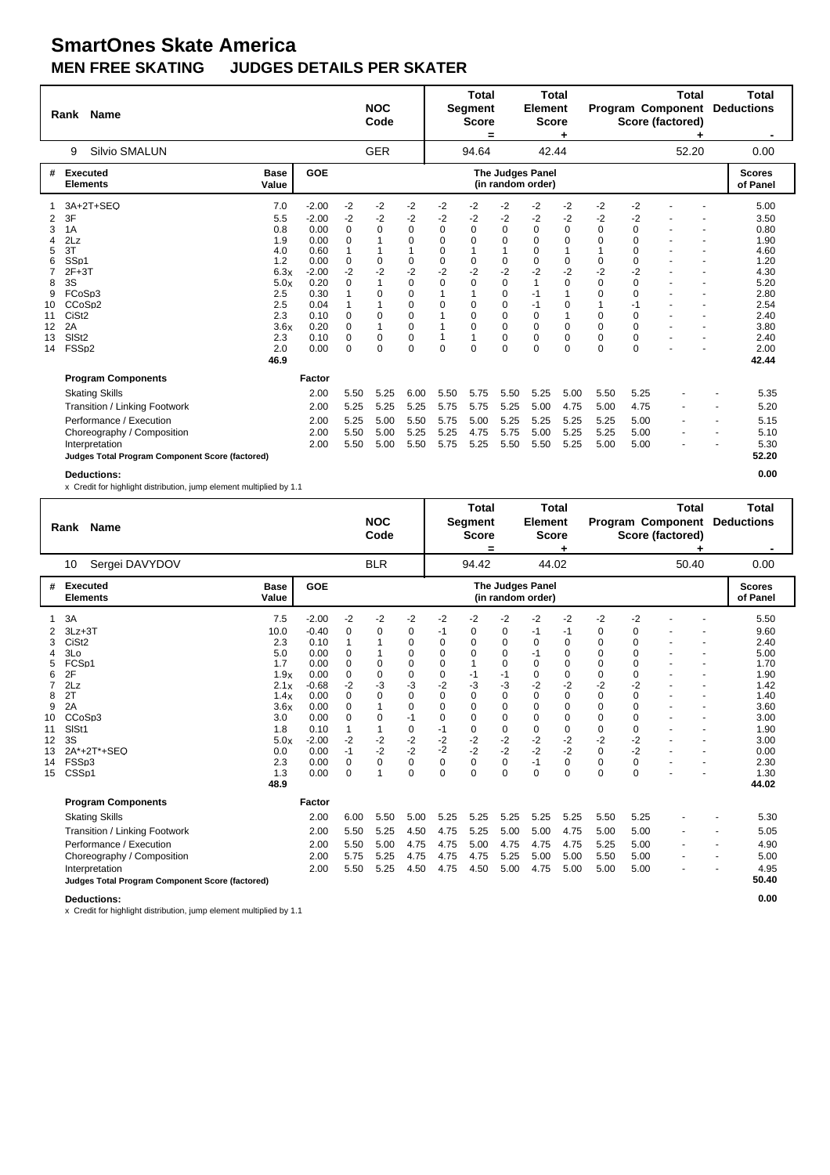|    | Rank              | <b>Name</b>                                     |                      |                 |              | <b>NOC</b><br>Code |                     |                  | <b>Total</b><br><b>Segment</b><br><b>Score</b><br>$\equiv$ |           | <b>Total</b><br><b>Element</b><br><b>Score</b> | ٠                |           |                  | <b>Total</b><br><b>Program Component</b><br>Score (factored) | Total<br><b>Deductions</b><br>$\blacksquare$ |
|----|-------------------|-------------------------------------------------|----------------------|-----------------|--------------|--------------------|---------------------|------------------|------------------------------------------------------------|-----------|------------------------------------------------|------------------|-----------|------------------|--------------------------------------------------------------|----------------------------------------------|
|    | 9                 | <b>Silvio SMALUN</b>                            |                      |                 |              | <b>GER</b>         |                     |                  | 94.64                                                      |           | 42.44                                          |                  |           |                  | 52.20                                                        | 0.00                                         |
| #  |                   | <b>Executed</b><br><b>Elements</b>              | <b>Base</b><br>Value | GOE             |              |                    |                     |                  |                                                            |           | The Judges Panel<br>(in random order)          |                  |           |                  |                                                              | <b>Scores</b><br>of Panel                    |
|    |                   | 3A+2T+SEQ                                       | 7.0                  | $-2.00$         | $-2$         | $-2$               | $-2$                | $-2$             | $-2$                                                       | $-2$      | $-2$                                           | $-2$             | $-2$      | $-2$             |                                                              | 5.00                                         |
| 2  | 3F                |                                                 | 5.5                  | $-2.00$         | $-2$         | $-2$               | $-2$                | $-2$             | $-2$                                                       | $-2$      | $-2$                                           | $-2$             | $-2$      | $-2$             |                                                              | 3.50                                         |
| 3  | 1A                |                                                 | 0.8                  | 0.00            | $\Omega$     | 0                  | $\Omega$            | $\Omega$         | $\Omega$                                                   | $\Omega$  | $\Omega$                                       | $\Omega$         | $\Omega$  | $\Omega$         |                                                              | 0.80                                         |
| 4  | 2Lz               |                                                 | 1.9                  | 0.00            | $\Omega$     |                    | 0                   | $\Omega$         | $\Omega$                                                   | 0         | 0                                              | $\mathbf 0$      | $\Omega$  | $\Omega$         |                                                              | 1.90                                         |
| 5  | 3T                |                                                 | 4.0                  | 0.60            | $\mathbf{1}$ |                    | 1                   | $\Omega$         |                                                            | 1         | $\Omega$                                       | $\mathbf{1}$     |           | $\Omega$         |                                                              | 4.60                                         |
| 6  | SS <sub>p1</sub>  |                                                 | 1.2<br>6.3x          | 0.00            | 0            | 0                  | $\mathbf 0$         | $\mathbf 0$      | 0                                                          | 0         | 0<br>$-2$                                      | 0                | 0<br>$-2$ | $\Omega$<br>$-2$ |                                                              | 1.20                                         |
| 8  | $2F+3T$<br>3S     |                                                 | 5.0x                 | $-2.00$<br>0.20 | $-2$<br>0    | $-2$<br>1          | $-2$<br>$\mathbf 0$ | $-2$<br>$\Omega$ | $-2$<br>$\Omega$                                           | $-2$<br>0 | 1                                              | $-2$<br>$\Omega$ | $\Omega$  | $\Omega$         |                                                              | 4.30<br>5.20                                 |
| 9  | FCoSp3            |                                                 | 2.5                  | 0.30            |              | 0                  | 0                   |                  |                                                            | 0         | $-1$                                           | $\mathbf{1}$     | $\Omega$  | $\Omega$         |                                                              | 2.80                                         |
| 10 | CCoSp2            |                                                 | 2.5                  | 0.04            |              |                    | 0                   | $\Omega$         | $\Omega$                                                   | $\Omega$  | $-1$                                           | $\Omega$         |           | $-1$             |                                                              | 2.54                                         |
| 11 | CiSt <sub>2</sub> |                                                 | 2.3                  | 0.10            | $\Omega$     | 0                  | 0                   |                  | $\Omega$                                                   | 0         | $\Omega$                                       | $\mathbf 1$      | 0         | 0                |                                                              | 2.40                                         |
| 12 | 2A                |                                                 | 3.6x                 | 0.20            | $\Omega$     | 1                  | 0                   | 1                | $\Omega$                                                   | 0         | $\Omega$                                       | $\Omega$         | $\Omega$  | $\Omega$         |                                                              | 3.80                                         |
| 13 | SIS <sub>t2</sub> |                                                 | 2.3                  | 0.10            | 0            | 0                  | 0                   | 1                |                                                            | 0         | $\Omega$                                       | 0                | 0         | 0                |                                                              | 2.40                                         |
| 14 | FSSp2             |                                                 | 2.0                  | 0.00            | 0            | 0                  | 0                   | 0                | 0                                                          | 0         | 0                                              | $\mathbf 0$      | 0         | 0                |                                                              | 2.00                                         |
|    |                   |                                                 | 46.9                 |                 |              |                    |                     |                  |                                                            |           |                                                |                  |           |                  |                                                              | 42.44                                        |
|    |                   | <b>Program Components</b>                       |                      | Factor          |              |                    |                     |                  |                                                            |           |                                                |                  |           |                  |                                                              |                                              |
|    |                   | <b>Skating Skills</b>                           |                      | 2.00            | 5.50         | 5.25               | 6.00                | 5.50             | 5.75                                                       | 5.50      | 5.25                                           | 5.00             | 5.50      | 5.25             |                                                              | 5.35                                         |
|    |                   | Transition / Linking Footwork                   |                      | 2.00            | 5.25         | 5.25               | 5.25                | 5.75             | 5.75                                                       | 5.25      | 5.00                                           | 4.75             | 5.00      | 4.75             |                                                              | 5.20                                         |
|    |                   | Performance / Execution                         |                      | 2.00            | 5.25         | 5.00               | 5.50                | 5.75             | 5.00                                                       | 5.25      | 5.25                                           | 5.25             | 5.25      | 5.00             |                                                              | 5.15                                         |
|    |                   | Choreography / Composition                      |                      | 2.00            | 5.50         | 5.00               | 5.25                | 5.25             | 4.75                                                       | 5.75      | 5.00                                           | 5.25             | 5.25      | 5.00             |                                                              | 5.10                                         |
|    |                   | Interpretation                                  |                      | 2.00            | 5.50         | 5.00               | 5.50                | 5.75             | 5.25                                                       | 5.50      | 5.50                                           | 5.25             | 5.00      | 5.00             |                                                              | 5.30                                         |
|    |                   | Judges Total Program Component Score (factored) |                      |                 |              |                    |                     |                  |                                                            |           |                                                |                  |           |                  |                                                              | 52.20                                        |
|    |                   | <b>Deductions:</b>                              |                      |                 |              |                    |                     |                  |                                                            |           |                                                |                  |           |                  |                                                              | 0.00                                         |

x Credit for highlight distribution, jump element multiplied by 1.1

|                                                                          | <b>Name</b><br>Rank                                                                                                                                         |                                                                                                                     |                                                                                                                                  |                                                                                                                               | <b>NOC</b><br>Code                                                 |                                                                                                       |                                                                                                                                            | <b>Total</b><br><b>Segment</b><br><b>Score</b>                                                                        |                                                                                                           | <b>Total</b><br><b>Element</b><br><b>Score</b>                                                                                       |                                                                                                                     |                                                                                                                                            |                                                                                                                                                  | Total<br><b>Program Component</b><br>Score (factored) |                                                           | Total<br><b>Deductions</b>                                                                                                    |
|--------------------------------------------------------------------------|-------------------------------------------------------------------------------------------------------------------------------------------------------------|---------------------------------------------------------------------------------------------------------------------|----------------------------------------------------------------------------------------------------------------------------------|-------------------------------------------------------------------------------------------------------------------------------|--------------------------------------------------------------------|-------------------------------------------------------------------------------------------------------|--------------------------------------------------------------------------------------------------------------------------------------------|-----------------------------------------------------------------------------------------------------------------------|-----------------------------------------------------------------------------------------------------------|--------------------------------------------------------------------------------------------------------------------------------------|---------------------------------------------------------------------------------------------------------------------|--------------------------------------------------------------------------------------------------------------------------------------------|--------------------------------------------------------------------------------------------------------------------------------------------------|-------------------------------------------------------|-----------------------------------------------------------|-------------------------------------------------------------------------------------------------------------------------------|
|                                                                          | Sergei DAVYDOV<br>10                                                                                                                                        |                                                                                                                     |                                                                                                                                  |                                                                                                                               | <b>BLR</b>                                                         |                                                                                                       |                                                                                                                                            | Ξ<br>94.42                                                                                                            |                                                                                                           | 44.02                                                                                                                                |                                                                                                                     |                                                                                                                                            |                                                                                                                                                  | 50.40                                                 |                                                           | 0.00                                                                                                                          |
| #                                                                        | Executed<br><b>Elements</b>                                                                                                                                 | <b>Base</b><br>Value                                                                                                | <b>GOE</b>                                                                                                                       |                                                                                                                               |                                                                    |                                                                                                       |                                                                                                                                            |                                                                                                                       |                                                                                                           | The Judges Panel<br>(in random order)                                                                                                |                                                                                                                     |                                                                                                                                            |                                                                                                                                                  |                                                       |                                                           | <b>Scores</b><br>of Panel                                                                                                     |
| 2<br>3<br>4<br>5<br>6<br>7<br>8<br>9<br>10<br>11<br>12<br>13<br>14<br>15 | 3A<br>$3Lz + 3T$<br>CiSt <sub>2</sub><br>3Lo<br>FCSp1<br>2F<br>2Lz<br>2T<br>2A<br>CCoSp3<br>SISt1<br>3S<br>2A*+2T*+SEQ<br>FSSp3<br>CSS <sub>p1</sub>        | 7.5<br>10.0<br>2.3<br>5.0<br>1.7<br>1.9x<br>2.1x<br>1.4x<br>3.6x<br>3.0<br>1.8<br>5.0x<br>0.0<br>2.3<br>1.3<br>48.9 | $-2.00$<br>$-0.40$<br>0.10<br>0.00<br>0.00<br>0.00<br>$-0.68$<br>0.00<br>0.00<br>0.00<br>0.10<br>$-2.00$<br>0.00<br>0.00<br>0.00 | $-2$<br>0<br>$\mathbf{1}$<br>0<br>0<br>0<br>$-2$<br>$\Omega$<br>0<br>$\Omega$<br>1<br>$-2$<br>$-1$<br>$\mathbf 0$<br>$\Omega$ | $-2$<br>0<br>1<br>0<br>0<br>-3<br>0<br>0<br>$-2$<br>$-2$<br>0<br>1 | $-2$<br>0<br>0<br>0<br>0<br>0<br>-3<br>0<br>0<br>$-1$<br>0<br>$-2$<br>$-2$<br>$\mathbf 0$<br>$\Omega$ | $-2$<br>-1<br>0<br>0<br>0<br>$\mathbf 0$<br>$-2$<br>$\Omega$<br>$\mathbf 0$<br>$\Omega$<br>$-1$<br>$-2$<br>$-2$<br>$\mathbf 0$<br>$\Omega$ | $-2$<br>0<br>$\Omega$<br>0<br>$-1$<br>-3<br>$\Omega$<br>0<br>$\Omega$<br>0<br>$-2$<br>$-2$<br>$\mathbf 0$<br>$\Omega$ | $-2$<br>0<br>0<br>0<br>$\Omega$<br>$-1$<br>-3<br>$\Omega$<br>0<br>0<br>0<br>$-2$<br>$-2$<br>0<br>$\Omega$ | $-2$<br>$-1$<br>$\Omega$<br>$-1$<br>$\Omega$<br>0<br>-2<br>$\Omega$<br>$\Omega$<br>$\Omega$<br>0<br>$-2$<br>$-2$<br>$-1$<br>$\Omega$ | $-2$<br>-1<br>0<br>0<br>0<br>0<br>$-2$<br>$\Omega$<br>0<br>$\Omega$<br>0<br>$-2$<br>$-2$<br>$\mathbf 0$<br>$\Omega$ | $-2$<br>0<br>0<br>0<br>$\mathbf 0$<br>0<br>$-2$<br>$\Omega$<br>$\mathbf 0$<br>$\Omega$<br>0<br>$-2$<br>$\Omega$<br>$\mathbf 0$<br>$\Omega$ | $-2$<br>0<br>$\Omega$<br>$\Omega$<br>$\Omega$<br>$\Omega$<br>-2<br>$\Omega$<br>$\Omega$<br>$\Omega$<br>0<br>$-2$<br>$-2$<br>$\Omega$<br>$\Omega$ |                                                       |                                                           | 5.50<br>9.60<br>2.40<br>5.00<br>1.70<br>1.90<br>1.42<br>1.40<br>3.60<br>3.00<br>1.90<br>3.00<br>0.00<br>2.30<br>1.30<br>44.02 |
|                                                                          | <b>Program Components</b>                                                                                                                                   |                                                                                                                     | Factor                                                                                                                           |                                                                                                                               |                                                                    |                                                                                                       |                                                                                                                                            |                                                                                                                       |                                                                                                           |                                                                                                                                      |                                                                                                                     |                                                                                                                                            |                                                                                                                                                  |                                                       |                                                           |                                                                                                                               |
|                                                                          | <b>Skating Skills</b>                                                                                                                                       |                                                                                                                     | 2.00                                                                                                                             | 6.00                                                                                                                          | 5.50                                                               | 5.00                                                                                                  | 5.25                                                                                                                                       | 5.25                                                                                                                  | 5.25                                                                                                      | 5.25                                                                                                                                 | 5.25                                                                                                                | 5.50                                                                                                                                       | 5.25                                                                                                                                             |                                                       |                                                           | 5.30                                                                                                                          |
|                                                                          | Transition / Linking Footwork<br>Performance / Execution<br>Choreography / Composition<br>Interpretation<br>Judges Total Program Component Score (factored) |                                                                                                                     | 2.00<br>2.00<br>2.00<br>2.00                                                                                                     | 5.50<br>5.50<br>5.75<br>5.50                                                                                                  | 5.25<br>5.00<br>5.25<br>5.25                                       | 4.50<br>4.75<br>4.75<br>4.50                                                                          | 4.75<br>4.75<br>4.75<br>4.75                                                                                                               | 5.25<br>5.00<br>4.75<br>4.50                                                                                          | 5.00<br>4.75<br>5.25<br>5.00                                                                              | 5.00<br>4.75<br>5.00<br>4.75                                                                                                         | 4.75<br>4.75<br>5.00<br>5.00                                                                                        | 5.00<br>5.25<br>5.50<br>5.00                                                                                                               | 5.00<br>5.00<br>5.00<br>5.00                                                                                                                     |                                                       | $\overline{\phantom{a}}$<br>$\overline{\phantom{a}}$<br>٠ | 5.05<br>4.90<br>5.00<br>4.95<br>50.40                                                                                         |
|                                                                          | <b>Deductions:</b>                                                                                                                                          |                                                                                                                     |                                                                                                                                  |                                                                                                                               |                                                                    |                                                                                                       |                                                                                                                                            |                                                                                                                       |                                                                                                           |                                                                                                                                      |                                                                                                                     |                                                                                                                                            |                                                                                                                                                  |                                                       |                                                           | 0.00                                                                                                                          |